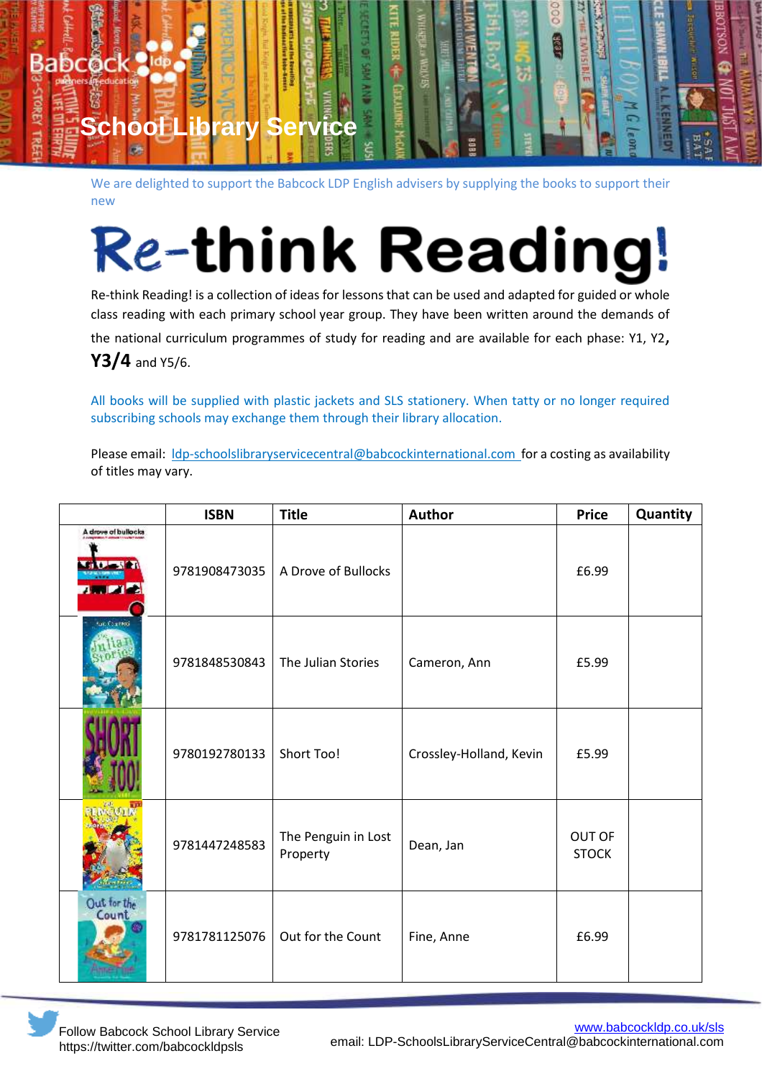

We are delighted to support the Babcock LDP English advisers by supplying the books to support their new

## **Re-think Reading**

Re-think Reading! is a collection of ideas for lessons that can be used and adapted for guided or whole class reading with each primary school year group. They have been written around the demands of the national curriculum programmes of study for reading and are available for each phase: Y1, Y2, **Y3/4** and Y5/6.

All books will be supplied with plastic jackets and SLS stationery. When tatty or no longer required subscribing schools may exchange them through their library allocation.

Please email: Idp-schoolslibraryservicecentral@babcockinternational.com for a costing as availability of titles may vary.

|                                       | <b>ISBN</b>   | <b>Title</b>                    | Author                  | <b>Price</b>           | Quantity |
|---------------------------------------|---------------|---------------------------------|-------------------------|------------------------|----------|
| A drove of bullocks<br><b>A WIDY!</b> | 9781908473035 | A Drove of Bullocks             |                         | £6.99                  |          |
| tan Counted                           | 9781848530843 | The Julian Stories              | Cameron, Ann            | £5.99                  |          |
|                                       | 9780192780133 | Short Too!                      | Crossley-Holland, Kevin | £5.99                  |          |
|                                       | 9781447248583 | The Penguin in Lost<br>Property | Dean, Jan               | OUT OF<br><b>STOCK</b> |          |
| Out for the<br>Count                  | 9781781125076 | Out for the Count               | Fine, Anne              | £6.99                  |          |

Follow Babcock School Library Service https://twitter.com/babcockldpsls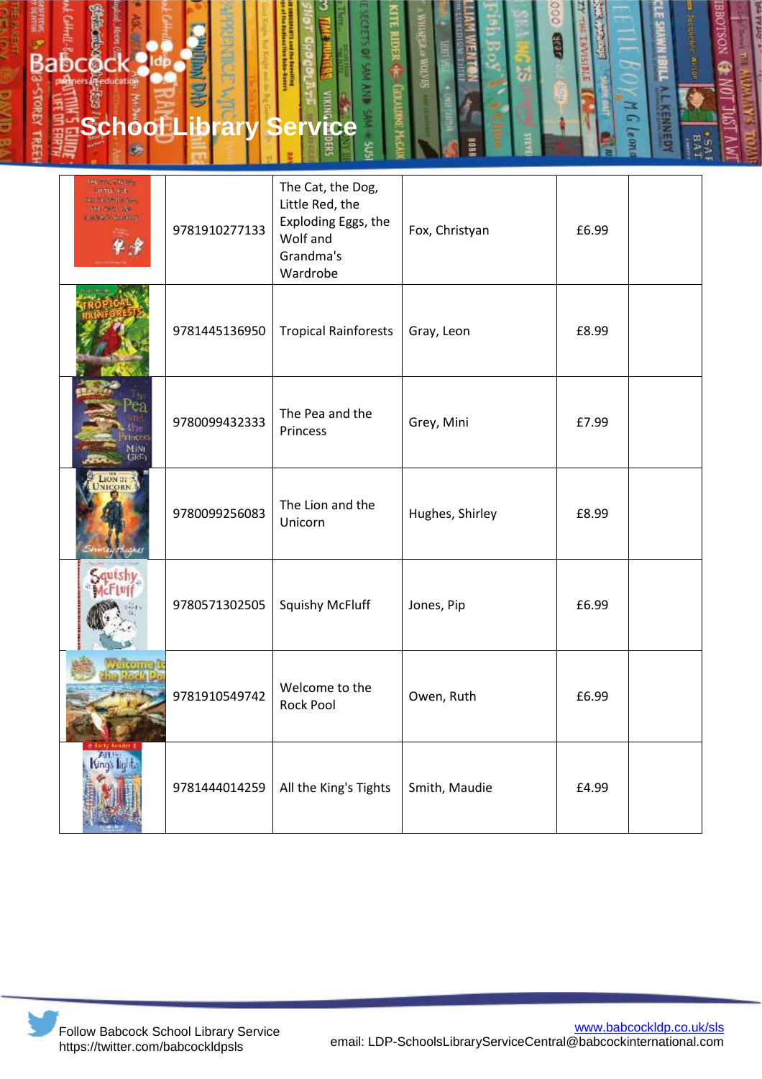

| <b>BE SALTA PR</b><br><b>LIFTUL PRE</b><br><b>THE TROOPED STORE</b><br>THE WILL AND<br><b>TANKING MODERNS</b> | 9781910277133 | The Cat, the Dog,<br>Little Red, the<br>Exploding Eggs, the<br>Wolf and<br>Grandma's<br>Wardrobe | Fox, Christyan  | £6.99 |  |
|---------------------------------------------------------------------------------------------------------------|---------------|--------------------------------------------------------------------------------------------------|-----------------|-------|--|
|                                                                                                               | 9781445136950 | <b>Tropical Rainforests</b>                                                                      | Gray, Leon      | £8.99 |  |
| √FiNi<br>GRE                                                                                                  | 9780099432333 | The Pea and the<br>Princess                                                                      | Grey, Mini      | £7.99 |  |
| <b>CORN</b>                                                                                                   | 9780099256083 | The Lion and the<br>Unicorn                                                                      | Hughes, Shirley | £8.99 |  |
|                                                                                                               | 9780571302505 | <b>Squishy McFluff</b>                                                                           | Jones, Pip      | £6.99 |  |
|                                                                                                               | 9781910549742 | Welcome to the<br>Rock Pool                                                                      | Owen, Ruth      | £6.99 |  |
| Nings lia                                                                                                     | 9781444014259 | All the King's Tights                                                                            | Smith, Maudie   | £4.99 |  |